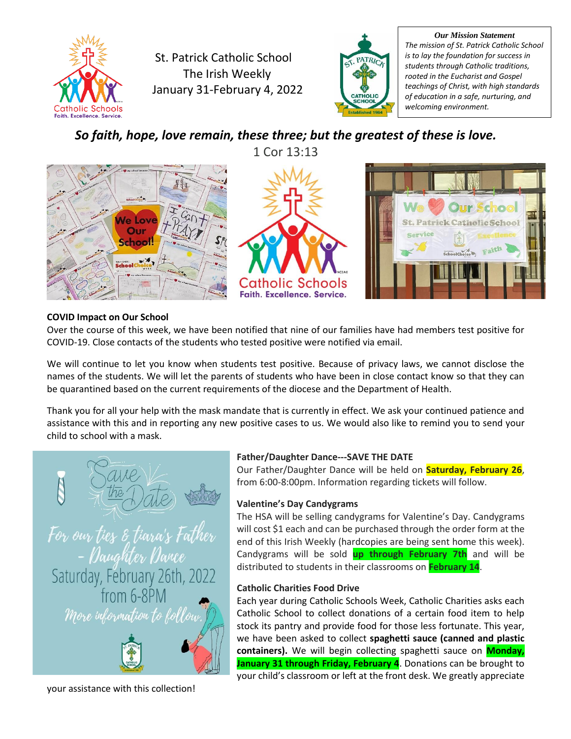

St. Patrick Catholic School The Irish Weekly January 31-February 4, 2022



*Our Mission Statement The mission of St. Patrick Catholic School is to lay the foundation for success in students through Catholic traditions, rooted in the Eucharist and Gospel teachings of Christ, with high standards of education in a safe, nurturing, and welcoming environment.*

*So faith, hope, love remain, these three; but the greatest of these is love.* 1 Cor 13:13







# **COVID Impact on Our School**

Over the course of this week, we have been notified that nine of our families have had members test positive for COVID-19. Close contacts of the students who tested positive were notified via email.

We will continue to let you know when students test positive. Because of privacy laws, we cannot disclose the names of the students. We will let the parents of students who have been in close contact know so that they can be quarantined based on the current requirements of the diocese and the Department of Health.

Thank you for all your help with the mask mandate that is currently in effect. We ask your continued patience and assistance with this and in reporting any new positive cases to us. We would also like to remind you to send your child to school with a mask.

# For our ties & tiara's Father Daughter Darce Saturday, February 26th, 2022

from 6-8PM More information to follow



# **Father/Daughter Dance---SAVE THE DATE**

Our Father/Daughter Dance will be held on **Saturday, February 26**, from 6:00-8:00pm. Information regarding tickets will follow.

# **Valentine's Day Candygrams**

The HSA will be selling candygrams for Valentine's Day. Candygrams will cost \$1 each and can be purchased through the order form at the end of this Irish Weekly (hardcopies are being sent home this week). Candygrams will be sold **up through February 7th** and will be distributed to students in their classrooms on **February 14**.

# **Catholic Charities Food Drive**

Each year during Catholic Schools Week, Catholic Charities asks each Catholic School to collect donations of a certain food item to help stock its pantry and provide food for those less fortunate. This year, we have been asked to collect **spaghetti sauce (canned and plastic containers).** We will begin collecting spaghetti sauce on **Monday, January 31 through Friday, February 4**. Donations can be brought to your child's classroom or left at the front desk. We greatly appreciate

your assistance with this collection!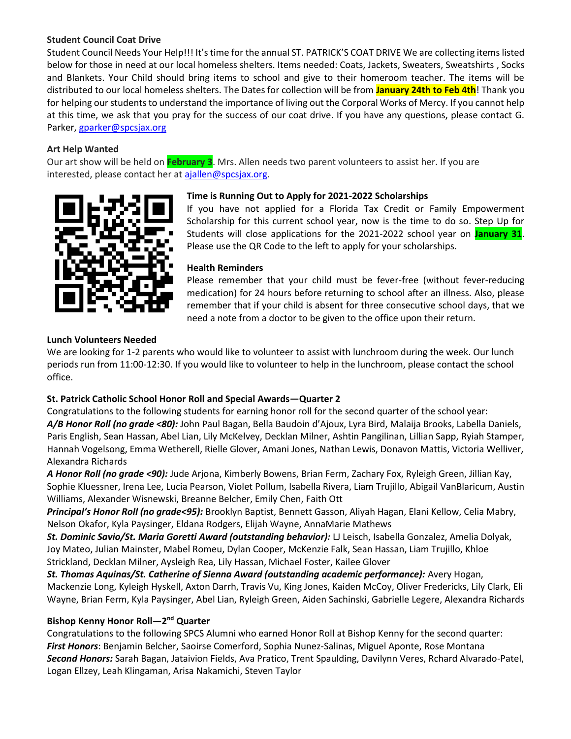### **Student Council Coat Drive**

Student Council Needs Your Help!!! It's time for the annual ST. PATRICK'S COAT DRIVE We are collecting items listed below for those in need at our local homeless shelters. Items needed: Coats, Jackets, Sweaters, Sweatshirts , Socks and Blankets. Your Child should bring items to school and give to their homeroom teacher. The items will be distributed to our local homeless shelters. The Dates for collection will be from **January 24th to Feb 4th**! Thank you for helping our students to understand the importance of living out the Corporal Works of Mercy. If you cannot help at this time, we ask that you pray for the success of our coat drive. If you have any questions, please contact G. Parker[, gparker@spcsjax.org](mailto:gparker@spcsjax.org)

#### **Art Help Wanted**

Our art show will be held on **February 3**. Mrs. Allen needs two parent volunteers to assist her. If you are interested, please contact her at [ajallen@spcsjax.org.](mailto:ajallen@spcsjax.org)



#### **Time is Running Out to Apply for 2021-2022 Scholarships**

If you have not applied for a Florida Tax Credit or Family Empowerment Scholarship for this current school year, now is the time to do so. Step Up for Students will close applications for the 2021-2022 school year on **January 31**. Please use the QR Code to the left to apply for your scholarships.

#### **Health Reminders**

Please remember that your child must be fever-free (without fever-reducing medication) for 24 hours before returning to school after an illness. Also, please remember that if your child is absent for three consecutive school days, that we need a note from a doctor to be given to the office upon their return.

#### **Lunch Volunteers Needed**

We are looking for 1-2 parents who would like to volunteer to assist with lunchroom during the week. Our lunch periods run from 11:00-12:30. If you would like to volunteer to help in the lunchroom, please contact the school office.

# **St. Patrick Catholic School Honor Roll and Special Awards—Quarter 2**

Congratulations to the following students for earning honor roll for the second quarter of the school year: *A/B Honor Roll (no grade <80):* John Paul Bagan, Bella Baudoin d'Ajoux, Lyra Bird, Malaija Brooks, Labella Daniels, Paris English, Sean Hassan, Abel Lian, Lily McKelvey, Decklan Milner, Ashtin Pangilinan, Lillian Sapp, Ryiah Stamper, Hannah Vogelsong, Emma Wetherell, Rielle Glover, Amani Jones, Nathan Lewis, Donavon Mattis, Victoria Welliver, Alexandra Richards

*A Honor Roll (no grade <90):* Jude Arjona, Kimberly Bowens, Brian Ferm, Zachary Fox, Ryleigh Green, Jillian Kay, Sophie Kluessner, Irena Lee, Lucia Pearson, Violet Pollum, Isabella Rivera, Liam Trujillo, Abigail VanBlaricum, Austin Williams, Alexander Wisnewski, Breanne Belcher, Emily Chen, Faith Ott

*Principal's Honor Roll (no grade<95):* Brooklyn Baptist, Bennett Gasson, Aliyah Hagan, Elani Kellow, Celia Mabry, Nelson Okafor, Kyla Paysinger, Eldana Rodgers, Elijah Wayne, AnnaMarie Mathews

*St. Dominic Savio/St. Maria Goretti Award (outstanding behavior):* LJ Leisch, Isabella Gonzalez, Amelia Dolyak, Joy Mateo, Julian Mainster, Mabel Romeu, Dylan Cooper, McKenzie Falk, Sean Hassan, Liam Trujillo, Khloe Strickland, Decklan Milner, Aysleigh Rea, Lily Hassan, Michael Foster, Kailee Glover

*St. Thomas Aquinas/St. Catherine of Sienna Award (outstanding academic performance):* Avery Hogan, Mackenzie Long, Kyleigh Hyskell, Axton Darrh, Travis Vu, King Jones, Kaiden McCoy, Oliver Fredericks, Lily Clark, Eli Wayne, Brian Ferm, Kyla Paysinger, Abel Lian, Ryleigh Green, Aiden Sachinski, Gabrielle Legere, Alexandra Richards

#### **Bishop Kenny Honor Roll—2 nd Quarter**

Congratulations to the following SPCS Alumni who earned Honor Roll at Bishop Kenny for the second quarter: *First Honors*: Benjamin Belcher, Saoirse Comerford, Sophia Nunez-Salinas, Miguel Aponte, Rose Montana *Second Honors:* Sarah Bagan, Jataivion Fields, Ava Pratico, Trent Spaulding, Davilynn Veres, Rchard Alvarado-Patel, Logan Ellzey, Leah Klingaman, Arisa Nakamichi, Steven Taylor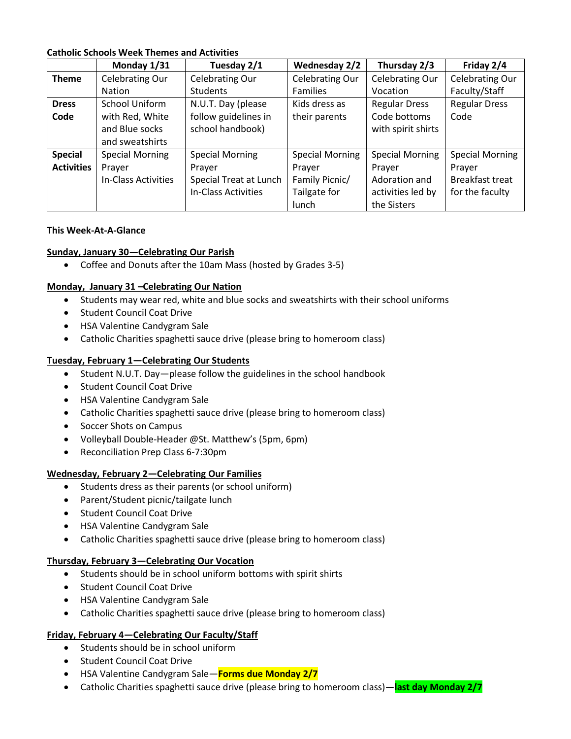#### **Catholic Schools Week Themes and Activities**

|                   | Monday 1/31            | Tuesday 2/1            | <b>Wednesday 2/2</b>   | Thursday 2/3           | Friday 2/4             |
|-------------------|------------------------|------------------------|------------------------|------------------------|------------------------|
| <b>Theme</b>      | Celebrating Our        | <b>Celebrating Our</b> | <b>Celebrating Our</b> | <b>Celebrating Our</b> | Celebrating Our        |
|                   | <b>Nation</b>          | <b>Students</b>        | <b>Families</b>        | Vocation               | Faculty/Staff          |
| <b>Dress</b>      | <b>School Uniform</b>  | N.U.T. Day (please     | Kids dress as          | <b>Regular Dress</b>   | <b>Regular Dress</b>   |
| Code              | with Red, White        | follow guidelines in   | their parents          | Code bottoms           | Code                   |
|                   | and Blue socks         | school handbook)       |                        | with spirit shirts     |                        |
|                   | and sweatshirts        |                        |                        |                        |                        |
| <b>Special</b>    | <b>Special Morning</b> | <b>Special Morning</b> | <b>Special Morning</b> | <b>Special Morning</b> | <b>Special Morning</b> |
| <b>Activities</b> | Prayer                 | Prayer                 | Prayer                 | Prayer                 | Prayer                 |
|                   | In-Class Activities    | Special Treat at Lunch | Family Picnic/         | Adoration and          | <b>Breakfast treat</b> |
|                   |                        | In-Class Activities    | Tailgate for           | activities led by      | for the faculty        |
|                   |                        |                        | lunch                  | the Sisters            |                        |

#### **This Week-At-A-Glance**

#### **Sunday, January 30—Celebrating Our Parish**

• Coffee and Donuts after the 10am Mass (hosted by Grades 3-5)

#### **Monday, January 31 –Celebrating Our Nation**

- Students may wear red, white and blue socks and sweatshirts with their school uniforms
- Student Council Coat Drive
- HSA Valentine Candygram Sale
- Catholic Charities spaghetti sauce drive (please bring to homeroom class)

#### **Tuesday, February 1—Celebrating Our Students**

- Student N.U.T. Day—please follow the guidelines in the school handbook
- Student Council Coat Drive
- HSA Valentine Candygram Sale
- Catholic Charities spaghetti sauce drive (please bring to homeroom class)
- Soccer Shots on Campus
- Volleyball Double-Header @St. Matthew's (5pm, 6pm)
- Reconciliation Prep Class 6-7:30pm

#### **Wednesday, February 2—Celebrating Our Families**

- Students dress as their parents (or school uniform)
- Parent/Student picnic/tailgate lunch
- Student Council Coat Drive
- HSA Valentine Candygram Sale
- Catholic Charities spaghetti sauce drive (please bring to homeroom class)

#### **Thursday, February 3—Celebrating Our Vocation**

- Students should be in school uniform bottoms with spirit shirts
- Student Council Coat Drive
- HSA Valentine Candygram Sale
- Catholic Charities spaghetti sauce drive (please bring to homeroom class)

#### **Friday, February 4—Celebrating Our Faculty/Staff**

- Students should be in school uniform
- Student Council Coat Drive
- HSA Valentine Candygram Sale—**Forms due Monday 2/7**
- Catholic Charities spaghetti sauce drive (please bring to homeroom class)—**last day Monday 2/7**